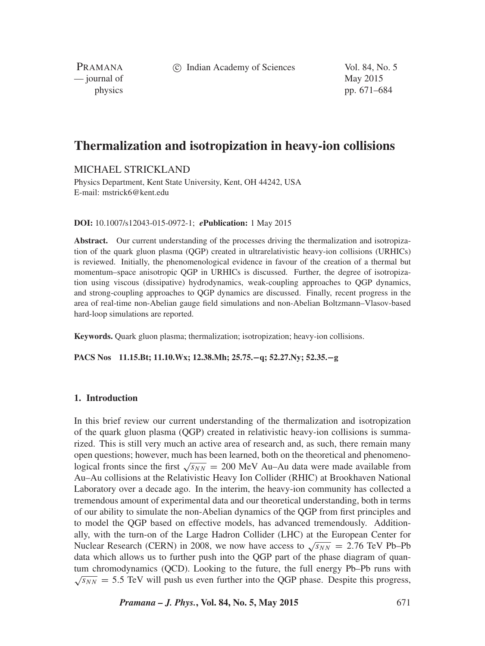c Indian Academy of Sciences Vol. 84, No. 5

PRAMANA — journal of May 2015

physics pp. 671–684

# **Thermalization and isotropization in heavy-ion collisions**

MICHAEL STRICKLAND

Physics Department, Kent State University, Kent, OH 44242, USA E-mail: mstrick6@kent.edu

**DOI:** 10.1007/s12043-015-0972-1; *e***Publication:** 1 May 2015

**Abstract.** Our current understanding of the processes driving the thermalization and isotropization of the quark gluon plasma (QGP) created in ultrarelativistic heavy-ion collisions (URHICs) is reviewed. Initially, the phenomenological evidence in favour of the creation of a thermal but momentum–space anisotropic QGP in URHICs is discussed. Further, the degree of isotropization using viscous (dissipative) hydrodynamics, weak-coupling approaches to QGP dynamics, and strong-coupling approaches to QGP dynamics are discussed. Finally, recent progress in the area of real-time non-Abelian gauge field simulations and non-Abelian Boltzmann–Vlasov-based hard-loop simulations are reported.

**Keywords.** Quark gluon plasma; thermalization; isotropization; heavy-ion collisions.

**PACS Nos 11.15.Bt; 11.10.Wx; 12.38.Mh; 25.75.−q; 52.27.Ny; 52.35.−g**

# **1. Introduction**

In this brief review our current understanding of the thermalization and isotropization of the quark gluon plasma (QGP) created in relativistic heavy-ion collisions is summarized. This is still very much an active area of research and, as such, there remain many open questions; however, much has been learned, both on the theoretical and phenomenological fronts since the first  $\sqrt{s_{NN}}$  = 200 MeV Au–Au data were made available from Au–Au collisions at the Relativistic Heavy Ion Collider (RHIC) at Brookhaven National Laboratory over a decade ago. In the interim, the heavy-ion community has collected a tremendous amount of experimental data and our theoretical understanding, both in terms of our ability to simulate the non-Abelian dynamics of the QGP from first principles and to model the QGP based on effective models, has advanced tremendously. Additionally, with the turn-on of the Large Hadron Collider (LHC) at the European Center for Nuclear Research (CERN) in 2008, we now have access to  $\sqrt{s_{NN}} = 2.76$  TeV Pb–Pb data which allows us to further push into the QGP part of the phase diagram of quantum chromodynamics (QCD). Looking to the future, the full energy Pb–Pb runs with  $\sqrt{s_{NN}}$  = 5.5 TeV will push us even further into the QGP phase. Despite this progress,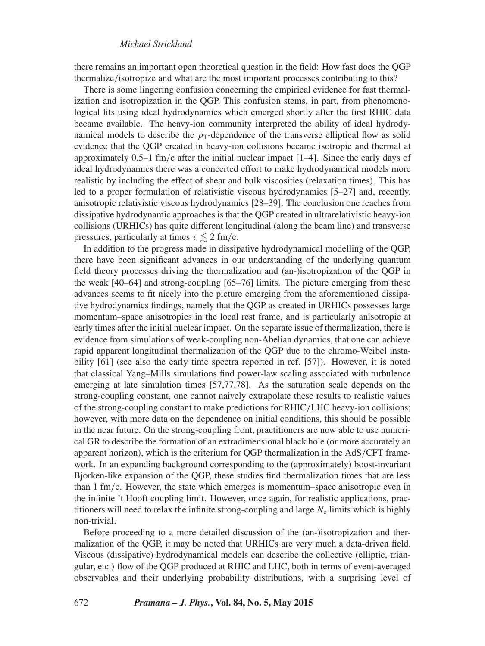# *Michael Strickland*

there remains an important open theoretical question in the field: How fast does the QGP thermalize*/*isotropize and what are the most important processes contributing to this?

There is some lingering confusion concerning the empirical evidence for fast thermalization and isotropization in the QGP. This confusion stems, in part, from phenomenological fits using ideal hydrodynamics which emerged shortly after the first RHIC data became available. The heavy-ion community interpreted the ability of ideal hydrodynamical models to describe the  $p<sub>T</sub>$ -dependence of the transverse elliptical flow as solid evidence that the QGP created in heavy-ion collisions became isotropic and thermal at approximately 0.5–1 fm*/*c after the initial nuclear impact [1–4]. Since the early days of ideal hydrodynamics there was a concerted effort to make hydrodynamical models more realistic by including the effect of shear and bulk viscosities (relaxation times). This has led to a proper formulation of relativistic viscous hydrodynamics [5–27] and, recently, anisotropic relativistic viscous hydrodynamics [28–39]. The conclusion one reaches from dissipative hydrodynamic approaches is that the QGP created in ultrarelativistic heavy-ion collisions (URHICs) has quite different longitudinal (along the beam line) and transverse pressures, particularly at times  $\tau \lesssim 2$  fm/c.

In addition to the progress made in dissipative hydrodynamical modelling of the QGP, there have been significant advances in our understanding of the underlying quantum field theory processes driving the thermalization and (an-)isotropization of the QGP in the weak [40–64] and strong-coupling [65–76] limits. The picture emerging from these advances seems to fit nicely into the picture emerging from the aforementioned dissipative hydrodynamics findings, namely that the QGP as created in URHICs possesses large momentum–space anisotropies in the local rest frame, and is particularly anisotropic at early times after the initial nuclear impact. On the separate issue of thermalization, there is evidence from simulations of weak-coupling non-Abelian dynamics, that one can achieve rapid apparent longitudinal thermalization of the QGP due to the chromo-Weibel instability [61] (see also the early time spectra reported in ref. [57]). However, it is noted that classical Yang–Mills simulations find power-law scaling associated with turbulence emerging at late simulation times [57,77,78]. As the saturation scale depends on the strong-coupling constant, one cannot naively extrapolate these results to realistic values of the strong-coupling constant to make predictions for RHIC*/*LHC heavy-ion collisions; however, with more data on the dependence on initial conditions, this should be possible in the near future. On the strong-coupling front, practitioners are now able to use numerical GR to describe the formation of an extradimensional black hole (or more accurately an apparent horizon), which is the criterium for QGP thermalization in the AdS*/*CFT framework. In an expanding background corresponding to the (approximately) boost-invariant Bjorken-like expansion of the QGP, these studies find thermalization times that are less than 1 fm*/*c. However, the state which emerges is momentum–space anisotropic even in the infinite 't Hooft coupling limit. However, once again, for realistic applications, practitioners will need to relax the infinite strong-coupling and large  $N_c$  limits which is highly non-trivial.

Before proceeding to a more detailed discussion of the (an-)isotropization and thermalization of the QGP, it may be noted that URHICs are very much a data-driven field. Viscous (dissipative) hydrodynamical models can describe the collective (elliptic, triangular, etc.) flow of the QGP produced at RHIC and LHC, both in terms of event-averaged observables and their underlying probability distributions, with a surprising level of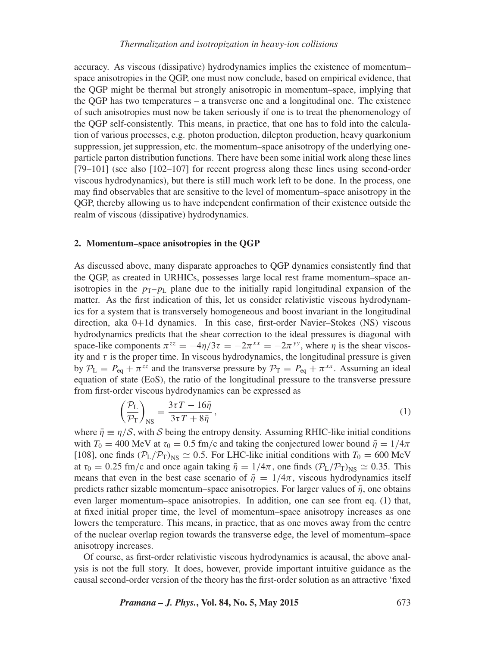accuracy. As viscous (dissipative) hydrodynamics implies the existence of momentum– space anisotropies in the QGP, one must now conclude, based on empirical evidence, that the QGP might be thermal but strongly anisotropic in momentum–space, implying that the QGP has two temperatures – a transverse one and a longitudinal one. The existence of such anisotropies must now be taken seriously if one is to treat the phenomenology of the QGP self-consistently. This means, in practice, that one has to fold into the calculation of various processes, e.g. photon production, dilepton production, heavy quarkonium suppression, jet suppression, etc. the momentum–space anisotropy of the underlying oneparticle parton distribution functions. There have been some initial work along these lines [79–101] (see also [102–107] for recent progress along these lines using second-order viscous hydrodynamics), but there is still much work left to be done. In the process, one may find observables that are sensitive to the level of momentum–space anisotropy in the QGP, thereby allowing us to have independent confirmation of their existence outside the realm of viscous (dissipative) hydrodynamics.

# **2. Momentum–space anisotropies in the QGP**

As discussed above, many disparate approaches to QGP dynamics consistently find that the QGP, as created in URHICs, possesses large local rest frame momentum–space anisotropies in the  $p_T$ – $p_L$  plane due to the initially rapid longitudinal expansion of the matter. As the first indication of this, let us consider relativistic viscous hydrodynamics for a system that is transversely homogeneous and boost invariant in the longitudinal direction, aka 0+1d dynamics. In this case, first-order Navier–Stokes (NS) viscous hydrodynamics predicts that the shear correction to the ideal pressures is diagonal with space-like components  $\pi^{zz} = -4\eta/3\tau = -2\pi^{xx} = -2\pi^{yy}$ , where  $\eta$  is the shear viscosity and *τ* is the proper time. In viscous hydrodynamics, the longitudinal pressure is given by  $P_L = P_{eq} + \pi^{zz}$  and the transverse pressure by  $P_T = P_{eq} + \pi^{xx}$ . Assuming an ideal equation of state (EoS), the ratio of the longitudinal pressure to the transverse pressure from first-order viscous hydrodynamics can be expressed as

$$
\left(\frac{\mathcal{P}_{\rm L}}{\mathcal{P}_{\rm T}}\right)_{\rm NS} = \frac{3\tau T - 16\bar{\eta}}{3\tau T + 8\bar{\eta}}\,,\tag{1}
$$

where  $\bar{\eta} \equiv \eta/S$ , with S being the entropy density. Assuming RHIC-like initial conditions with  $T_0 = 400$  MeV at  $\tau_0 = 0.5$  fm/c and taking the conjectured lower bound  $\bar{\eta} = 1/4\pi$ [108], one finds  $(\mathcal{P}_L/\mathcal{P}_T)_{NS} \simeq 0.5$ . For LHC-like initial conditions with  $T_0 = 600$  MeV at  $\tau_0 = 0.25$  fm/c and once again taking  $\bar{\eta} = 1/4\pi$ , one finds  $(\mathcal{P}_L/\mathcal{P}_T)_{NS} \approx 0.35$ . This means that even in the best case scenario of  $\bar{\eta} = 1/4\pi$ , viscous hydrodynamics itself predicts rather sizable momentum–space anisotropies. For larger values of  $\bar{\eta}$ , one obtains even larger momentum–space anisotropies. In addition, one can see from eq. (1) that, at fixed initial proper time, the level of momentum–space anisotropy increases as one lowers the temperature. This means, in practice, that as one moves away from the centre of the nuclear overlap region towards the transverse edge, the level of momentum–space anisotropy increases.

Of course, as first-order relativistic viscous hydrodynamics is acausal, the above analysis is not the full story. It does, however, provide important intuitive guidance as the causal second-order version of the theory has the first-order solution as an attractive 'fixed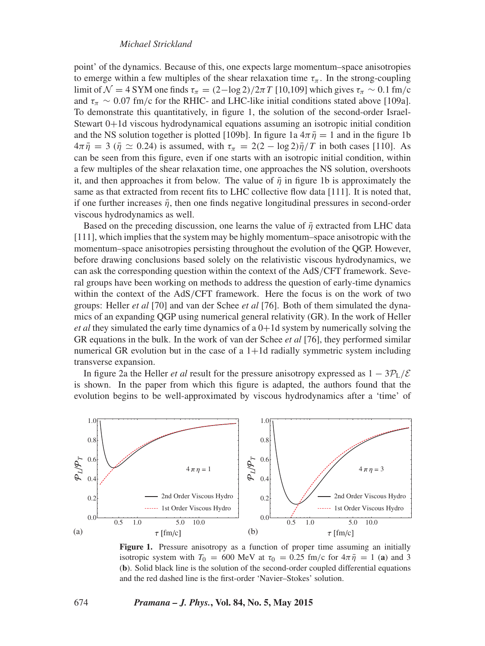point' of the dynamics. Because of this, one expects large momentum–space anisotropies to emerge within a few multiples of the shear relaxation time  $\tau_{\pi}$ . In the strong-coupling limit of  $\mathcal{N} = 4$  SYM one finds  $\tau_{\pi} = (2 - \log 2)/2\pi T$  [10,109] which gives  $\tau_{\pi} \sim 0.1$  fm/c and  $\tau_{\pi} \sim 0.07$  fm/c for the RHIC- and LHC-like initial conditions stated above [109a]. To demonstrate this quantitatively, in figure 1, the solution of the second-order Israel-Stewart 0+1d viscous hydrodynamical equations assuming an isotropic initial condition and the NS solution together is plotted [109b]. In figure 1a  $4\pi \bar{\eta} = 1$  and in the figure 1b  $4\pi \bar{\eta} = 3$  ( $\bar{\eta} \simeq 0.24$ ) is assumed, with  $\tau_{\pi} = 2(2 - \log 2)\bar{\eta}/T$  in both cases [110]. As can be seen from this figure, even if one starts with an isotropic initial condition, within a few multiples of the shear relaxation time, one approaches the NS solution, overshoots it, and then approaches it from below. The value of  $\bar{\eta}$  in figure 1b is approximately the same as that extracted from recent fits to LHC collective flow data [111]. It is noted that, if one further increases  $\bar{\eta}$ , then one finds negative longitudinal pressures in second-order viscous hydrodynamics as well.

Based on the preceding discussion, one learns the value of  $\bar{\eta}$  extracted from LHC data [111], which implies that the system may be highly momentum–space anisotropic with the momentum–space anisotropies persisting throughout the evolution of the QGP. However, before drawing conclusions based solely on the relativistic viscous hydrodynamics, we can ask the corresponding question within the context of the AdS*/*CFT framework. Several groups have been working on methods to address the question of early-time dynamics within the context of the AdS*/*CFT framework. Here the focus is on the work of two groups: Heller *et al* [70] and van der Schee *et al* [76]. Both of them simulated the dynamics of an expanding QGP using numerical general relativity (GR). In the work of Heller *et al* they simulated the early time dynamics of a 0+1d system by numerically solving the GR equations in the bulk. In the work of van der Schee *et al* [76], they performed similar numerical GR evolution but in the case of a  $1+1d$  radially symmetric system including transverse expansion.

In figure 2a the Heller *et al* result for the pressure anisotropy expressed as  $1 - 3P_L/\mathcal{E}$ is shown. In the paper from which this figure is adapted, the authors found that the evolution begins to be well-approximated by viscous hydrodynamics after a 'time' of



**Figure 1.** Pressure anisotropy as a function of proper time assuming an initially isotropic system with  $T_0 = 600$  MeV at  $\tau_0 = 0.25$  fm/c for  $4\pi \bar{\eta} = 1$  (a) and 3 (**b**). Solid black line is the solution of the second-order coupled differential equations and the red dashed line is the first-order 'Navier–Stokes' solution.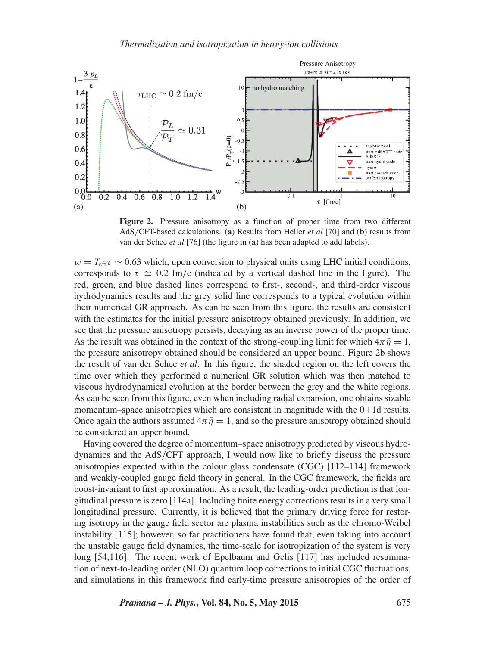

**Figure 2.** Pressure anisotropy as a function of proper time from two different AdS*/*CFT-based calculations. (**a**) Results from Heller *et al* [70] and (**b**) results from van der Schee *et al* [76] (the figure in (**a**) has been adapted to add labels).

 $w = T_{\text{eff}}\tau \sim 0.63$  which, upon conversion to physical units using LHC initial conditions, corresponds to  $\tau \simeq 0.2$  fm/c (indicated by a vertical dashed line in the figure). The red, green, and blue dashed lines correspond to first-, second-, and third-order viscous hydrodynamics results and the grey solid line corresponds to a typical evolution within their numerical GR approach. As can be seen from this figure, the results are consistent with the estimates for the initial pressure anisotropy obtained previously. In addition, we see that the pressure anisotropy persists, decaying as an inverse power of the proper time. As the result was obtained in the context of the strong-coupling limit for which  $4\pi \bar{\eta} = 1$ , the pressure anisotropy obtained should be considered an upper bound. Figure 2b shows the result of van der Schee *et al*. In this figure, the shaded region on the left covers the time over which they performed a numerical GR solution which was then matched to viscous hydrodynamical evolution at the border between the grey and the white regions. As can be seen from this figure, even when including radial expansion, one obtains sizable momentum–space anisotropies which are consistent in magnitude with the  $0+1d$  results. Once again the authors assumed  $4\pi \bar{\eta} = 1$ , and so the pressure anisotropy obtained should be considered an upper bound.

Having covered the degree of momentum–space anisotropy predicted by viscous hydrodynamics and the AdS*/*CFT approach, I would now like to briefly discuss the pressure anisotropies expected within the colour glass condensate (CGC) [112–114] framework and weakly-coupled gauge field theory in general. In the CGC framework, the fields are boost-invariant to first approximation. As a result, the leading-order prediction is that longitudinal pressure is zero [114a]. Including finite energy corrections results in a very small longitudinal pressure. Currently, it is believed that the primary driving force for restoring isotropy in the gauge field sector are plasma instabilities such as the chromo-Weibel instability [115]; however, so far practitioners have found that, even taking into account the unstable gauge field dynamics, the time-scale for isotropization of the system is very long [54,116]. The recent work of Epelbaum and Gelis [117] has included resummation of next-to-leading order (NLO) quantum loop corrections to initial CGC fluctuations, and simulations in this framework find early-time pressure anisotropies of the order of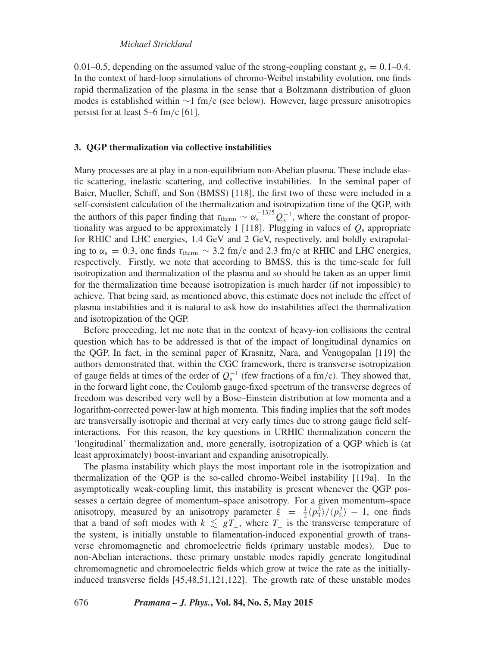## *Michael Strickland*

0.01–0.5, depending on the assumed value of the strong-coupling constant  $g_s = 0.1$ –0.4. In the context of hard-loop simulations of chromo-Weibel instability evolution, one finds rapid thermalization of the plasma in the sense that a Boltzmann distribution of gluon modes is established within ∼1 fm*/*c (see below). However, large pressure anisotropies persist for at least 5–6 fm*/*c [61].

#### **3. QGP thermalization via collective instabilities**

Many processes are at play in a non-equilibrium non-Abelian plasma. These include elastic scattering, inelastic scattering, and collective instabilities. In the seminal paper of Baier, Mueller, Schiff, and Son (BMSS) [118], the first two of these were included in a self-consistent calculation of the thermalization and isotropization time of the QGP, with the authors of this paper finding that  $\tau_{\text{therm}} \sim \alpha_s^{-13/5} Q_s^{-1}$ , where the constant of proportionality was argued to be approximately 1 [118]. Plugging in values of  $Q_s$  appropriate for RHIC and LHC energies, 1.4 GeV and 2 GeV, respectively, and boldly extrapolating to  $\alpha_s = 0.3$ , one finds  $\tau_{\text{therm}} \sim 3.2 \text{ fm/c}$  and 2.3 fm/c at RHIC and LHC energies, respectively. Firstly, we note that according to BMSS, this is the time-scale for full isotropization and thermalization of the plasma and so should be taken as an upper limit for the thermalization time because isotropization is much harder (if not impossible) to achieve. That being said, as mentioned above, this estimate does not include the effect of plasma instabilities and it is natural to ask how do instabilities affect the thermalization and isotropization of the QGP.

Before proceeding, let me note that in the context of heavy-ion collisions the central question which has to be addressed is that of the impact of longitudinal dynamics on the QGP. In fact, in the seminal paper of Krasnitz, Nara, and Venugopalan [119] the authors demonstrated that, within the CGC framework, there is transverse isotropization of gauge fields at times of the order of  $Q_s^{-1}$  (few fractions of a fm/c). They showed that, in the forward light cone, the Coulomb gauge-fixed spectrum of the transverse degrees of freedom was described very well by a Bose–Einstein distribution at low momenta and a logarithm-corrected power-law at high momenta. This finding implies that the soft modes are transversally isotropic and thermal at very early times due to strong gauge field selfinteractions. For this reason, the key questions in URHIC thermalization concern the 'longitudinal' thermalization and, more generally, isotropization of a QGP which is (at least approximately) boost-invariant and expanding anisotropically.

The plasma instability which plays the most important role in the isotropization and thermalization of the QGP is the so-called chromo-Weibel instability [119a]. In the asymptotically weak-coupling limit, this instability is present whenever the QGP possesses a certain degree of momentum–space anisotropy. For a given momentum–space anisotropy, measured by an anisotropy parameter  $\xi = \frac{1}{2} \langle p_{\rm T}^2 \rangle / \langle p_{\rm L}^2 \rangle - 1$ , one finds that a band of soft modes with  $k \leq gT_{\perp}$ , where  $T_{\perp}$  is the transverse temperature of the system, is initially unstable to filamentation-induced exponential growth of transverse chromomagnetic and chromoelectric fields (primary unstable modes). Due to non-Abelian interactions, these primary unstable modes rapidly generate longitudinal chromomagnetic and chromoelectric fields which grow at twice the rate as the initiallyinduced transverse fields [45,48,51,121,122]. The growth rate of these unstable modes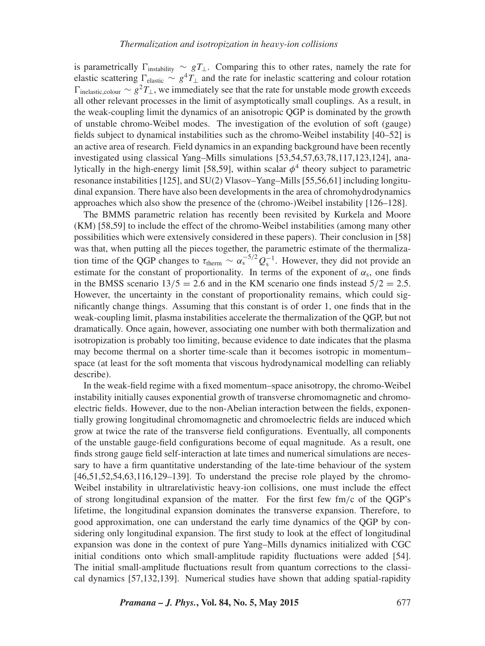is parametrically  $\Gamma_{\text{instability}} \sim gT_{\perp}$ . Comparing this to other rates, namely the rate for elastic scattering  $\Gamma_{\text{elastic}} \sim g^4 \tilde{T}_\perp$  and the rate for inelastic scattering and colour rotation  $\Gamma_{\text{inelastic-colour}} \sim g^2 T_{\perp}$ , we immediately see that the rate for unstable mode growth exceeds all other relevant processes in the limit of asymptotically small couplings. As a result, in the weak-coupling limit the dynamics of an anisotropic QGP is dominated by the growth of unstable chromo-Weibel modes. The investigation of the evolution of soft (gauge) fields subject to dynamical instabilities such as the chromo-Weibel instability [40–52] is an active area of research. Field dynamics in an expanding background have been recently investigated using classical Yang–Mills simulations [53,54,57,63,78,117,123,124], analytically in the high-energy limit [58,59], within scalar  $\phi^4$  theory subject to parametric resonance instabilities [125], and SU(2) Vlasov–Yang–Mills [55,56,61] including longitudinal expansion. There have also been developments in the area of chromohydrodynamics approaches which also show the presence of the (chromo-)Weibel instability [126–128].

The BMMS parametric relation has recently been revisited by Kurkela and Moore (KM) [58,59] to include the effect of the chromo-Weibel instabilities (among many other possibilities which were extensively considered in these papers). Their conclusion in [58] was that, when putting all the pieces together, the parametric estimate of the thermalization time of the QGP changes to  $\tau_{\text{therm}} \sim \alpha_s^{-5/2} Q_s^{-1}$ . However, they did not provide an estimate for the constant of proportionality. In terms of the exponent of  $\alpha_s$ , one finds in the BMSS scenario  $13/5 = 2.6$  and in the KM scenario one finds instead  $5/2 = 2.5$ . However, the uncertainty in the constant of proportionality remains, which could significantly change things. Assuming that this constant is of order 1, one finds that in the weak-coupling limit, plasma instabilities accelerate the thermalization of the QGP, but not dramatically. Once again, however, associating one number with both thermalization and isotropization is probably too limiting, because evidence to date indicates that the plasma may become thermal on a shorter time-scale than it becomes isotropic in momentum– space (at least for the soft momenta that viscous hydrodynamical modelling can reliably describe).

In the weak-field regime with a fixed momentum–space anisotropy, the chromo-Weibel instability initially causes exponential growth of transverse chromomagnetic and chromoelectric fields. However, due to the non-Abelian interaction between the fields, exponentially growing longitudinal chromomagnetic and chromoelectric fields are induced which grow at twice the rate of the transverse field configurations. Eventually, all components of the unstable gauge-field configurations become of equal magnitude. As a result, one finds strong gauge field self-interaction at late times and numerical simulations are necessary to have a firm quantitative understanding of the late-time behaviour of the system [46,51,52,54,63,116,129–139]. To understand the precise role played by the chromo-Weibel instability in ultrarelativistic heavy-ion collisions, one must include the effect of strong longitudinal expansion of the matter. For the first few fm*/*c of the QGP's lifetime, the longitudinal expansion dominates the transverse expansion. Therefore, to good approximation, one can understand the early time dynamics of the QGP by considering only longitudinal expansion. The first study to look at the effect of longitudinal expansion was done in the context of pure Yang–Mills dynamics initialized with CGC initial conditions onto which small-amplitude rapidity fluctuations were added [54]. The initial small-amplitude fluctuations result from quantum corrections to the classical dynamics [57,132,139]. Numerical studies have shown that adding spatial-rapidity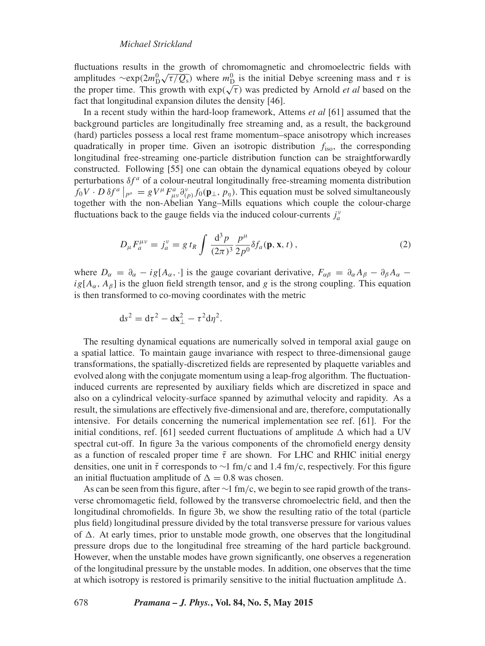fluctuations results in the growth of chromomagnetic and chromoelectric fields with amplitudes  $\sim \exp(2m_D^0 \sqrt{\tau/Q_s})$  where  $m_D^0$  is the initial Debye screening mass and  $\tau$  is the proper time. This growth with  $\exp(\sqrt{\tau})$  was predicted by Arnold *et al* based on the fact that longitudinal expansion dilutes the density [46].

In a recent study within the hard-loop framework, Attems *et al* [61] assumed that the background particles are longitudinally free streaming and, as a result, the background (hard) particles possess a local rest frame momentum–space anisotropy which increases quadratically in proper time. Given an isotropic distribution *f*iso, the corresponding longitudinal free-streaming one-particle distribution function can be straightforwardly constructed. Following [55] one can obtain the dynamical equations obeyed by colour perturbations  $\delta f^a$  of a colour-neutral longitudinally free-streaming momenta distribution  $f_0V \cdot D \delta f^a \mid_{p^{\mu}} = gV^{\mu}F^a_{\mu\nu} \partial^v_{(p)} f_0(\mathbf{p}_{\perp}, p_{\eta})$ . This equation must be solved simultaneously together with the non-Abelian Yang–Mills equations which couple the colour-charge fluctuations back to the gauge fields via the induced colour-currents  $j_a^{\nu}$ 

$$
D_{\mu}F_{a}^{\mu\nu} = j_{a}^{\nu} = g t_{R} \int \frac{d^{3}p}{(2\pi)^{3}} \frac{p^{\mu}}{2p^{0}} \delta f_{a}(\mathbf{p}, \mathbf{x}, t) ,
$$
 (2)

where  $D_{\alpha} = \partial_{\alpha} - ig[A_{\alpha}, \cdot]$  is the gauge covariant derivative,  $F_{\alpha\beta} = \partial_{\alpha}A_{\beta} - \partial_{\beta}A_{\alpha}$  –  $i g[A_{\alpha}, A_{\beta}]$  is the gluon field strength tensor, and *g* is the strong coupling. This equation is then transformed to co-moving coordinates with the metric

$$
ds^2 = d\tau^2 - d\mathbf{x}_{\perp}^2 - \tau^2 d\eta^2.
$$

The resulting dynamical equations are numerically solved in temporal axial gauge on a spatial lattice. To maintain gauge invariance with respect to three-dimensional gauge transformations, the spatially-discretized fields are represented by plaquette variables and evolved along with the conjugate momentum using a leap-frog algorithm. The fluctuationinduced currents are represented by auxiliary fields which are discretized in space and also on a cylindrical velocity-surface spanned by azimuthal velocity and rapidity. As a result, the simulations are effectively five-dimensional and are, therefore, computationally intensive. For details concerning the numerical implementation see ref. [61]. For the initial conditions, ref. [61] seeded current fluctuations of amplitude  $\Delta$  which had a UV spectral cut-off. In figure 3a the various components of the chromofield energy density as a function of rescaled proper time  $\tilde{\tau}$  are shown. For LHC and RHIC initial energy densities, one unit in *τ*˜ corresponds to ∼1 fm*/*c and 1.4 fm*/*c, respectively. For this figure an initial fluctuation amplitude of  $\Delta = 0.8$  was chosen.

As can be seen from this figure, after ∼1 fm*/*c, we begin to see rapid growth of the transverse chromomagetic field, followed by the transverse chromoelectric field, and then the longitudinal chromofields. In figure 3b, we show the resulting ratio of the total (particle plus field) longitudinal pressure divided by the total transverse pressure for various values of  $\Delta$ . At early times, prior to unstable mode growth, one observes that the longitudinal pressure drops due to the longitudinal free streaming of the hard particle background. However, when the unstable modes have grown significantly, one observes a regeneration of the longitudinal pressure by the unstable modes. In addition, one observes that the time at which isotropy is restored is primarily sensitive to the initial fluctuation amplitude  $\Delta$ .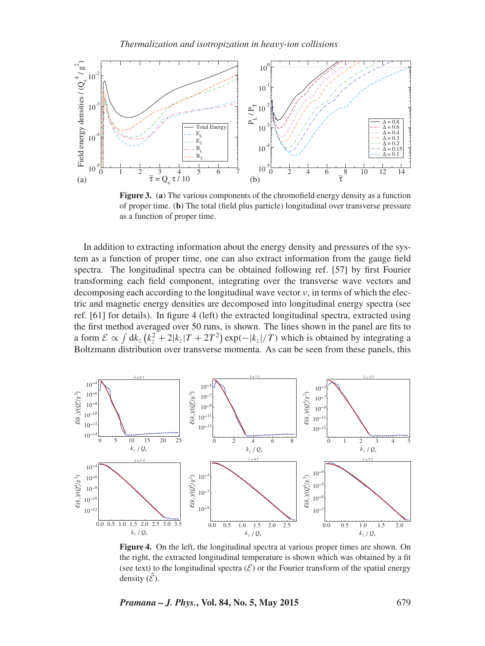

**Figure 3.** (**a**) The various components of the chromofield energy density as a function of proper time. (**b**) The total (field plus particle) longitudinal over transverse pressure as a function of proper time.

In addition to extracting information about the energy density and pressures of the system as a function of proper time, one can also extract information from the gauge field spectra. The longitudinal spectra can be obtained following ref. [57] by first Fourier transforming each field component, integrating over the transverse wave vectors and decomposing each according to the longitudinal wave vector  $\nu$ , in terms of which the electric and magnetic energy densities are decomposed into longitudinal energy spectra (see ref. [61] for details). In figure 4 (left) the extracted longitudinal spectra, extracted using the first method averaged over 50 runs, is shown. The lines shown in the panel are fits to a form  $\mathcal{E} \propto \int dk_z \left(k_z^2 + 2|k_z|T + 2T^2\right) \exp(-|k_z|/T)$  which is obtained by integrating a Boltzmann distribution over transverse momenta. As can be seen from these panels, this



**Figure 4.** On the left, the longitudinal spectra at various proper times are shown. On the right, the extracted longitudinal temperature is shown which was obtained by a fit (see text) to the longitudinal spectra  $(\mathcal{E})$  or the Fourier transform of the spatial energy density  $(\mathcal{E})$ .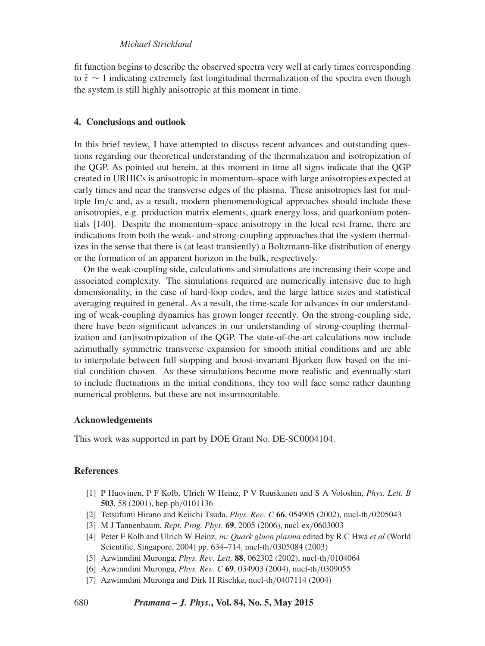# *Michael Strickland*

fit function begins to describe the observed spectra very well at early times corresponding to  $\tilde{\tau} \sim 1$  indicating extremely fast longitudinal thermalization of the spectra even though the system is still highly anisotropic at this moment in time.

### **4. Conclusions and outlook**

In this brief review, I have attempted to discuss recent advances and outstanding questions regarding our theoretical understanding of the thermalization and isotropization of the QGP. As pointed out herein, at this moment in time all signs indicate that the QGP created in URHICs is anisotropic in momentum–space with large anisotropies expected at early times and near the transverse edges of the plasma. These anisotropies last for multiple fm*/*c and, as a result, modern phenomenological approaches should include these anisotropies, e.g. production matrix elements, quark energy loss, and quarkonium potentials [140]. Despite the momentum–space anisotropy in the local rest frame, there are indications from both the weak- and strong-coupling approaches that the system thermalizes in the sense that there is (at least transiently) a Boltzmann-like distribution of energy or the formation of an apparent horizon in the bulk, respectively.

On the weak-coupling side, calculations and simulations are increasing their scope and associated complexity. The simulations required are numerically intensive due to high dimensionality, in the case of hard-loop codes, and the large lattice sizes and statistical averaging required in general. As a result, the time-scale for advances in our understanding of weak-coupling dynamics has grown longer recently. On the strong-coupling side, there have been significant advances in our understanding of strong-coupling thermalization and (an)isotropization of the QGP. The state-of-the-art calculations now include azimuthally symmetric transverse expansion for smooth initial conditions and are able to interpolate between full stopping and boost-invariant Bjorken flow based on the initial condition chosen. As these simulations become more realistic and eventually start to include fluctuations in the initial conditions, they too will face some rather daunting numerical problems, but these are not insurmountable.

## **Acknowledgements**

This work was supported in part by DOE Grant No. DE-SC0004104.

# **References**

- [1] P Huovinen, P F Kolb, Ulrich W Heinz, P V Ruuskanen and S A Voloshin, *Phys. Lett. B* **503**, 58 (2001), hep-ph*/*0101136
- [2] Tetsufumi Hirano and Keiichi Tsuda, *Phys. Rev. C* **66**, 054905 (2002), nucl-th*/*0205043
- [3] M J Tannenbaum, *Rept. Prog. Phys.* **69**, 2005 (2006), nucl-ex*/*0603003
- [4] Peter F Kolb and Ulrich W Heinz, *in: Quark gluon plasma* edited by R C Hwa *et al* (World Scientific, Singapore, 2004) pp. 634–714, nucl-th*/*0305084 (2003)
- [5] Azwinndini Muronga, *Phys. Rev. Lett.* **88**, 062302 (2002), nucl-th*/*0104064
- [6] Azwinndini Muronga, *Phys. Rev. C* **69**, 034903 (2004), nucl-th*/*0309055
- [7] Azwinndini Muronga and Dirk H Rischke, nucl-th*/*0407114 (2004)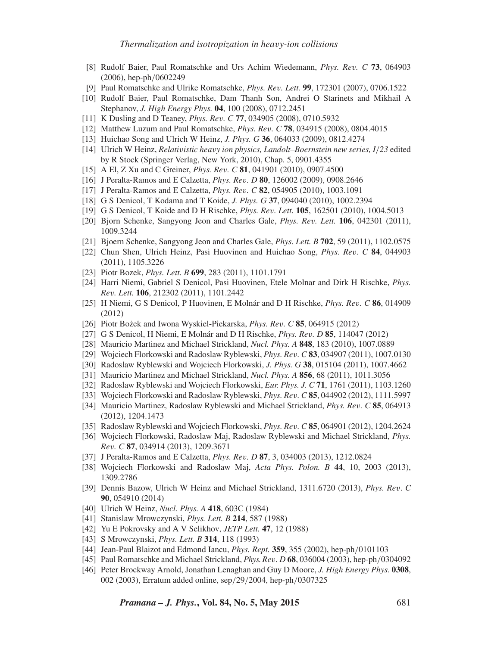- [8] Rudolf Baier, Paul Romatschke and Urs Achim Wiedemann, *Phys. Rev. C* **73**, 064903 (2006), hep-ph*/*0602249
- [9] Paul Romatschke and Ulrike Romatschke, *Phys. Rev. Lett.* **99**, 172301 (2007), 0706.1522
- [10] Rudolf Baier, Paul Romatschke, Dam Thanh Son, Andrei O Starinets and Mikhail A Stephanov, *J. High Energy Phys.* **04**, 100 (2008), 0712.2451
- [11] K Dusling and D Teaney, *Phys. Rev. C* **77**, 034905 (2008), 0710.5932
- [12] Matthew Luzum and Paul Romatschke, *Phys. Rev. C* **78**, 034915 (2008), 0804.4015
- [13] Huichao Song and Ulrich W Heinz, *J. Phys. G* **36**, 064033 (2009), 0812.4274
- [14] Ulrich W Heinz, *Relativistic heavy ion physics, Landolt–Boernstein new series, I/23* edited by R Stock (Springer Verlag, New York, 2010), Chap. 5, 0901.4355
- [15] A El, Z Xu and C Greiner, *Phys. Rev. C* **81**, 041901 (2010), 0907.4500
- [16] J Peralta-Ramos and E Calzetta, *Phys. Rev. D* **80**, 126002 (2009), 0908.2646
- [17] J Peralta-Ramos and E Calzetta, *Phys. Rev. C* **82**, 054905 (2010), 1003.1091
- [18] G S Denicol, T Kodama and T Koide, *J. Phys. G* **37**, 094040 (2010), 1002.2394
- [19] G S Denicol, T Koide and D H Rischke, *Phys. Rev. Lett.* **105**, 162501 (2010), 1004.5013
- [20] Bjorn Schenke, Sangyong Jeon and Charles Gale, *Phys. Rev. Lett.* **106**, 042301 (2011), 1009.3244
- [21] Bjoern Schenke, Sangyong Jeon and Charles Gale, *Phys. Lett. B* **702**, 59 (2011), 1102.0575
- [22] Chun Shen, Ulrich Heinz, Pasi Huovinen and Huichao Song, *Phys. Rev. C* **84**, 044903 (2011), 1105.3226
- [23] Piotr Bozek, *Phys. Lett. B* **699**, 283 (2011), 1101.1791
- [24] Harri Niemi, Gabriel S Denicol, Pasi Huovinen, Etele Molnar and Dirk H Rischke, *Phys. Rev. Lett.* **106**, 212302 (2011), 1101.2442
- [25] H Niemi, G S Denicol, P Huovinen, E Molnár and D H Rischke, *Phys. Rev. C* **86**, 014909 (2012)
- [26] Piotr Bozek and Iwona Wyskiel-Piekarska, *Phys. Rev. C* 85, 064915 (2012)
- [27] G S Denicol, H Niemi, E Molnár and D H Rischke, *Phys. Rev. D* **85**, 114047 (2012)
- [28] Mauricio Martinez and Michael Strickland, *Nucl. Phys. A* **848**, 183 (2010), 1007.0889
- [29] Wojciech Florkowski and Radoslaw Ryblewski, *Phys. Rev. C* **83**, 034907 (2011), 1007.0130
- [30] Radoslaw Ryblewski and Wojciech Florkowski, *J. Phys. G* **38**, 015104 (2011), 1007.4662
- [31] Mauricio Martinez and Michael Strickland, *Nucl. Phys. A* **856**, 68 (2011), 1011.3056
- [32] Radoslaw Ryblewski and Wojciech Florkowski, *Eur. Phys. J. C* **71**, 1761 (2011), 1103.1260
- [33] Wojciech Florkowski and Radoslaw Ryblewski, *Phys. Rev. C* **85**, 044902 (2012), 1111.5997
- [34] Mauricio Martinez, Radoslaw Ryblewski and Michael Strickland, *Phys. Rev. C* **85**, 064913 (2012), 1204.1473
- [35] Radoslaw Ryblewski and Wojciech Florkowski, *Phys. Rev. C* **85**, 064901 (2012), 1204.2624
- [36] Wojciech Florkowski, Radoslaw Maj, Radoslaw Ryblewski and Michael Strickland, *Phys. Rev. C* **87**, 034914 (2013), 1209.3671
- [37] J Peralta-Ramos and E Calzetta, *Phys. Rev. D* **87**, 3, 034003 (2013), 1212.0824
- [38] Wojciech Florkowski and Radoslaw Maj, *Acta Phys. Polon. B* **44**, 10, 2003 (2013), 1309.2786
- [39] Dennis Bazow, Ulrich W Heinz and Michael Strickland, 1311.6720 (2013), *Phys. Rev*. *C* **90**, 054910 (2014)
- [40] Ulrich W Heinz, *Nucl. Phys. A* **418**, 603C (1984)
- [41] Stanislaw Mrowczynski, *Phys. Lett. B* **214**, 587 (1988)
- [42] Yu E Pokrovsky and A V Selikhov, *JETP Lett.* **47**, 12 (1988)
- [43] S Mrowczynski, *Phys. Lett. B* **314**, 118 (1993)
- [44] Jean-Paul Blaizot and Edmond Iancu, *Phys. Rept.* **359**, 355 (2002), hep-ph*/*0101103
- [45] Paul Romatschke and Michael Strickland, *Phys. Rev. D* **68**, 036004 (2003), hep-ph*/*0304092
- [46] Peter Brockway Arnold, Jonathan Lenaghan and Guy D Moore, *J. High Energy Phys.* **0308**, 002 (2003), Erratum added online, sep*/*29*/*2004, hep-ph*/*0307325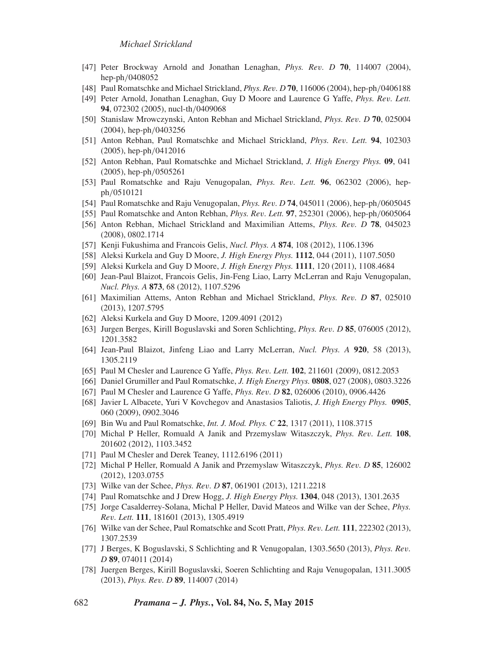- [47] Peter Brockway Arnold and Jonathan Lenaghan, *Phys. Rev. D* **70**, 114007 (2004), hep-ph*/*0408052
- [48] Paul Romatschke and Michael Strickland, *Phys. Rev. D* **70**, 116006 (2004), hep-ph*/*0406188
- [49] Peter Arnold, Jonathan Lenaghan, Guy D Moore and Laurence G Yaffe, *Phys. Rev. Lett.* **94**, 072302 (2005), nucl-th*/*0409068
- [50] Stanislaw Mrowczynski, Anton Rebhan and Michael Strickland, *Phys. Rev. D* **70**, 025004 (2004), hep-ph*/*0403256
- [51] Anton Rebhan, Paul Romatschke and Michael Strickland, *Phys. Rev. Lett.* **94**, 102303 (2005), hep-ph*/*0412016
- [52] Anton Rebhan, Paul Romatschke and Michael Strickland, *J. High Energy Phys.* **09**, 041 (2005), hep-ph*/*0505261
- [53] Paul Romatschke and Raju Venugopalan, *Phys. Rev. Lett.* **96**, 062302 (2006), hepph*/*0510121
- [54] Paul Romatschke and Raju Venugopalan, *Phys. Rev. D* **74**, 045011 (2006), hep-ph*/*0605045
- [55] Paul Romatschke and Anton Rebhan, *Phys. Rev. Lett.* **97**, 252301 (2006), hep-ph*/*0605064
- [56] Anton Rebhan, Michael Strickland and Maximilian Attems, *Phys. Rev. D* **78**, 045023 (2008), 0802.1714
- [57] Kenji Fukushima and Francois Gelis, *Nucl. Phys. A* **874**, 108 (2012), 1106.1396
- [58] Aleksi Kurkela and Guy D Moore, *J. High Energy Phys.* **1112**, 044 (2011), 1107.5050
- [59] Aleksi Kurkela and Guy D Moore, *J. High Energy Phys.* **1111**, 120 (2011), 1108.4684
- [60] Jean-Paul Blaizot, Francois Gelis, Jin-Feng Liao, Larry McLerran and Raju Venugopalan, *Nucl. Phys. A* **873**, 68 (2012), 1107.5296
- [61] Maximilian Attems, Anton Rebhan and Michael Strickland, *Phys. Rev. D* **87**, 025010 (2013), 1207.5795
- [62] Aleksi Kurkela and Guy D Moore, 1209.4091 (2012)
- [63] Jurgen Berges, Kirill Boguslavski and Soren Schlichting, *Phys. Rev. D* **85**, 076005 (2012), 1201.3582
- [64] Jean-Paul Blaizot, Jinfeng Liao and Larry McLerran, *Nucl. Phys. A* **920**, 58 (2013), 1305.2119
- [65] Paul M Chesler and Laurence G Yaffe, *Phys. Rev. Lett.* **102**, 211601 (2009), 0812.2053
- [66] Daniel Grumiller and Paul Romatschke, *J. High Energy Phys.* **0808**, 027 (2008), 0803.3226
- [67] Paul M Chesler and Laurence G Yaffe, *Phys. Rev. D* **82**, 026006 (2010), 0906.4426
- [68] Javier L Albacete, Yuri V Kovchegov and Anastasios Taliotis, *J. High Energy Phys.* **0905**, 060 (2009), 0902.3046
- [69] Bin Wu and Paul Romatschke, *Int. J. Mod. Phys. C* **22**, 1317 (2011), 1108.3715
- [70] Michal P Heller, Romuald A Janik and Przemyslaw Witaszczyk, *Phys. Rev. Lett.* **108**, 201602 (2012), 1103.3452
- [71] Paul M Chesler and Derek Teaney, 1112.6196 (2011)
- [72] Michal P Heller, Romuald A Janik and Przemyslaw Witaszczyk, *Phys. Rev. D* **85**, 126002 (2012), 1203.0755
- [73] Wilke van der Schee, *Phys. Rev. D* **87**, 061901 (2013), 1211.2218
- [74] Paul Romatschke and J Drew Hogg, *J. High Energy Phys.* **1304**, 048 (2013), 1301.2635
- [75] Jorge Casalderrey-Solana, Michal P Heller, David Mateos and Wilke van der Schee, *Phys. Rev. Lett.* **111**, 181601 (2013), 1305.4919
- [76] Wilke van der Schee, Paul Romatschke and Scott Pratt, *Phys. Rev. Lett.* **111**, 222302 (2013), 1307.2539
- [77] J Berges, K Boguslavski, S Schlichting and R Venugopalan, 1303.5650 (2013), *Phys. Rev. D* **89**, 074011 (2014)
- [78] Juergen Berges, Kirill Boguslavski, Soeren Schlichting and Raju Venugopalan, 1311.3005 (2013), *Phys. Rev. D* **89**, 114007 (2014)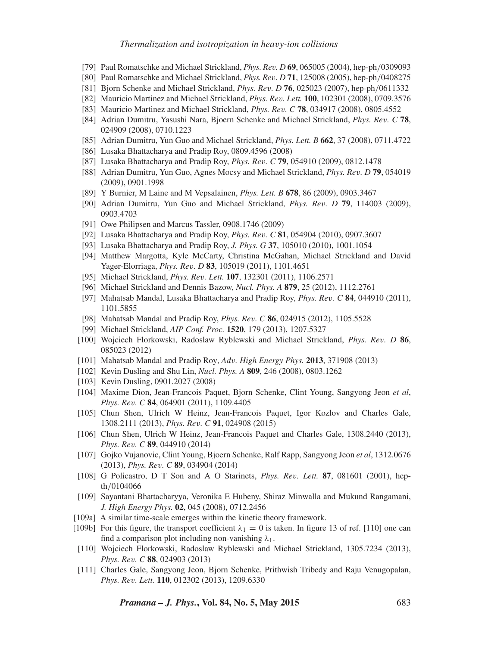- [79] Paul Romatschke and Michael Strickland, *Phys. Rev. D* **69**, 065005 (2004), hep-ph*/*0309093
- [80] Paul Romatschke and Michael Strickland, *Phys. Rev. D* **71**, 125008 (2005), hep-ph*/*0408275
- [81] Bjorn Schenke and Michael Strickland, *Phys. Rev. D* **76**, 025023 (2007), hep-ph*/*0611332
- [82] Mauricio Martinez and Michael Strickland, *Phys. Rev. Lett.* **100**, 102301 (2008), 0709.3576
- [83] Mauricio Martinez and Michael Strickland, *Phys. Rev. C* **78**, 034917 (2008), 0805.4552
- [84] Adrian Dumitru, Yasushi Nara, Bjoern Schenke and Michael Strickland, *Phys. Rev. C* **78**, 024909 (2008), 0710.1223
- [85] Adrian Dumitru, Yun Guo and Michael Strickland, *Phys. Lett. B* **662**, 37 (2008), 0711.4722
- [86] Lusaka Bhattacharya and Pradip Roy, 0809.4596 (2008)
- [87] Lusaka Bhattacharya and Pradip Roy, *Phys. Rev. C* **79**, 054910 (2009), 0812.1478
- [88] Adrian Dumitru, Yun Guo, Agnes Mocsy and Michael Strickland, *Phys. Rev. D* **79**, 054019 (2009), 0901.1998
- [89] Y Burnier, M Laine and M Vepsalainen, *Phys. Lett. B* **678**, 86 (2009), 0903.3467
- [90] Adrian Dumitru, Yun Guo and Michael Strickland, *Phys. Rev. D* **79**, 114003 (2009), 0903.4703
- [91] Owe Philipsen and Marcus Tassler, 0908.1746 (2009)
- [92] Lusaka Bhattacharya and Pradip Roy, *Phys. Rev. C* **81**, 054904 (2010), 0907.3607
- [93] Lusaka Bhattacharya and Pradip Roy, *J. Phys. G* **37**, 105010 (2010), 1001.1054
- [94] Matthew Margotta, Kyle McCarty, Christina McGahan, Michael Strickland and David Yager-Elorriaga, *Phys. Rev. D* **83**, 105019 (2011), 1101.4651
- [95] Michael Strickland, *Phys. Rev. Lett.* **107**, 132301 (2011), 1106.2571
- [96] Michael Strickland and Dennis Bazow, *Nucl. Phys. A* **879**, 25 (2012), 1112.2761
- [97] Mahatsab Mandal, Lusaka Bhattacharya and Pradip Roy, *Phys. Rev. C* **84**, 044910 (2011), 1101.5855
- [98] Mahatsab Mandal and Pradip Roy, *Phys. Rev. C* **86**, 024915 (2012), 1105.5528
- [99] Michael Strickland, *AIP Conf. Proc.* **1520**, 179 (2013), 1207.5327
- [100] Wojciech Florkowski, Radoslaw Ryblewski and Michael Strickland, *Phys. Rev. D* **86**, 085023 (2012)
- [101] Mahatsab Mandal and Pradip Roy, *Adv. High Energy Phys.* **2013**, 371908 (2013)
- [102] Kevin Dusling and Shu Lin, *Nucl. Phys. A* **809**, 246 (2008), 0803.1262
- [103] Kevin Dusling, 0901.2027 (2008)
- [104] Maxime Dion, Jean-Francois Paquet, Bjorn Schenke, Clint Young, Sangyong Jeon *et al*, *Phys. Rev. C* **84**, 064901 (2011), 1109.4405
- [105] Chun Shen, Ulrich W Heinz, Jean-Francois Paquet, Igor Kozlov and Charles Gale, 1308.2111 (2013), *Phys. Rev. C* **91**, 024908 (2015)
- [106] Chun Shen, Ulrich W Heinz, Jean-Francois Paquet and Charles Gale, 1308.2440 (2013), *Phys. Rev. C* **89**, 044910 (2014)
- [107] Gojko Vujanovic, Clint Young, Bjoern Schenke, Ralf Rapp, Sangyong Jeon *et al*, 1312.0676 (2013), *Phys. Rev. C* **89**, 034904 (2014)
- [108] G Policastro, D T Son and A O Starinets, *Phys. Rev. Lett.* **87**, 081601 (2001), hepth*/*0104066
- [109] Sayantani Bhattacharyya, Veronika E Hubeny, Shiraz Minwalla and Mukund Rangamani, *J. High Energy Phys.* **02**, 045 (2008), 0712.2456
- [109a] A similar time-scale emerges within the kinetic theory framework.
- [109b] For this figure, the transport coefficient  $\lambda_1 = 0$  is taken. In figure 13 of ref. [110] one can find a comparison plot including non-vanishing *λ*1.
- [110] Wojciech Florkowski, Radoslaw Ryblewski and Michael Strickland, 1305.7234 (2013), *Phys. Rev. C* **88**, 024903 (2013)
- [111] Charles Gale, Sangyong Jeon, Bjorn Schenke, Prithwish Tribedy and Raju Venugopalan, *Phys. Rev. Lett.* **110**, 012302 (2013), 1209.6330